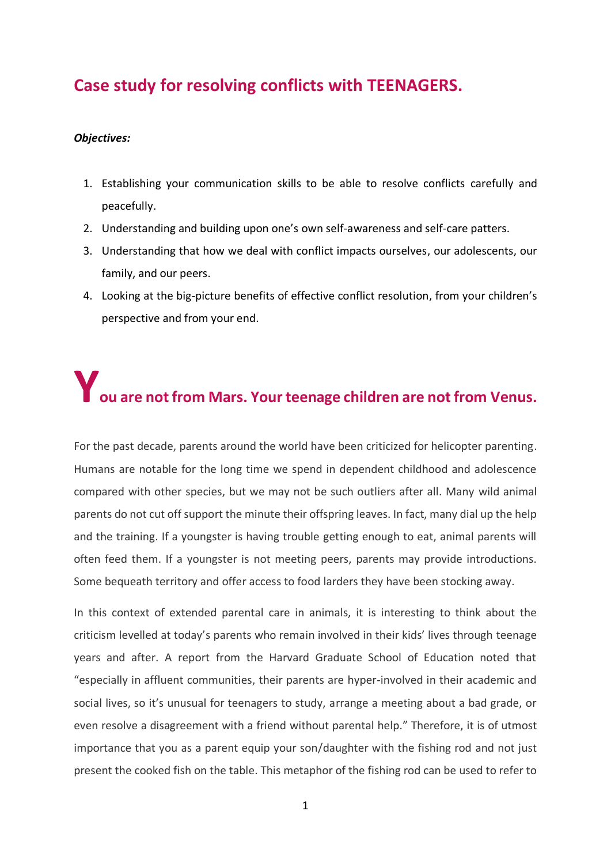# **Case study for resolving conflicts with TEENAGERS.**

#### *Objectives:*

- 1. Establishing your communication skills to be able to resolve conflicts carefully and peacefully.
- 2. Understanding and building upon one's own self-awareness and self-care patters.
- 3. Understanding that how we deal with conflict impacts ourselves, our adolescents, our family, and our peers.
- 4. Looking at the big-picture benefits of effective conflict resolution, from your children's perspective and from your end.

# **You are not from Mars. Your teenage children are not from Venus.**

For the past decade, parents around the world have been criticized for helicopter parenting. Humans are notable for the long time we spend in dependent childhood and adolescence compared with other species, but we may not be such outliers after all. Many wild animal parents do not cut off support the minute their offspring leaves. In fact, many dial up the help and the training. If a youngster is having trouble getting enough to eat, animal parents will often feed them. If a youngster is not meeting peers, parents may provide introductions. Some bequeath territory and offer access to food larders they have been stocking away.

In this context of extended parental care in animals, it is interesting to think about the criticism levelled at today's parents who remain involved in their kids' lives through teenage years and after. A report from the Harvard Graduate School of Education noted that "especially in affluent communities, their parents are hyper-involved in their academic and social lives, so it's unusual for teenagers to study, arrange a meeting about a bad grade, or even resolve a disagreement with a friend without parental help." Therefore, it is of utmost importance that you as a parent equip your son/daughter with the fishing rod and not just present the cooked fish on the table. This metaphor of the fishing rod can be used to refer to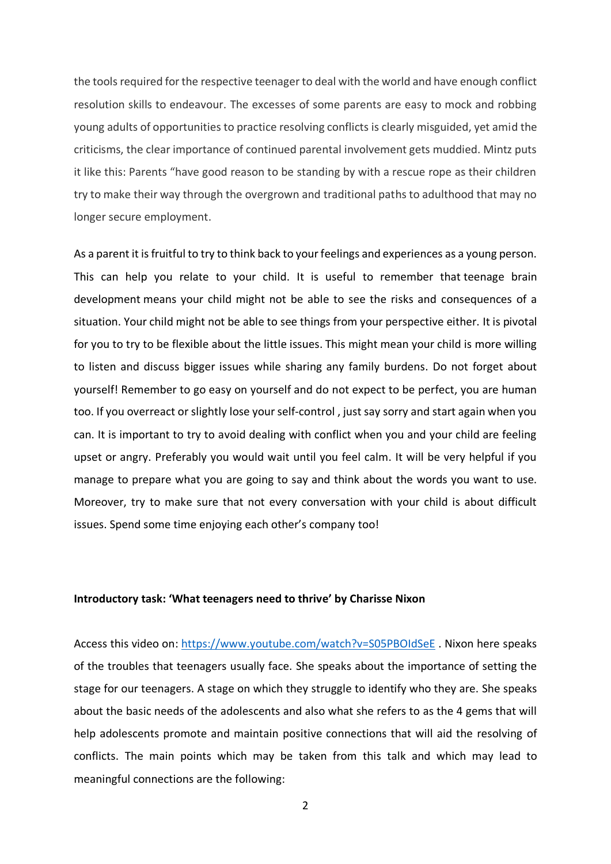the tools required for the respective teenager to deal with the world and have enough conflict resolution skills to endeavour. The excesses of some parents are easy to mock and robbing young adults of opportunities to practice resolving conflicts is clearly misguided, yet amid the criticisms, the clear importance of continued parental involvement gets muddied. Mintz puts it like this: Parents "have good reason to be standing by with a rescue rope as their children try to make their way through the overgrown and traditional paths to adulthood that may no longer secure employment.

As a parent it is fruitful to try to think back to your feelings and experiences as a young person. This can help you relate to your child. It is useful to remember that [teenage brain](https://raisingchildren.net.au/teens/development/understanding-your-teenager/brain-development-teens)  [development](https://raisingchildren.net.au/teens/development/understanding-your-teenager/brain-development-teens) means your child might not be able to see the risks and consequences of a situation. Your child might not be able to see things from your perspective either. It is pivotal for you to try to be flexible about the little issues. This might mean your child is more willing to listen and discuss bigger issues while sharing any family burdens. Do not forget about yourself! Remember to go easy on yourself and do not expect to be perfect, you are human too. If you overreact or slightly lose your self-control , just say sorry and start again when you can. It is important to try to avoid dealing with conflict when you and your child are feeling upset or angry. Preferably you would wait until you feel calm. It will be very helpful if you manage to prepare what you are going to say and think about the words you want to use. Moreover, try to make sure that not every conversation with your child is about difficult issues. Spend some time enjoying each other's company too!

#### **Introductory task: 'What teenagers need to thrive' by Charisse Nixon**

Access this video on:<https://www.youtube.com/watch?v=S05PBOIdSeE> . Nixon here speaks of the troubles that teenagers usually face. She speaks about the importance of setting the stage for our teenagers. A stage on which they struggle to identify who they are. She speaks about the basic needs of the adolescents and also what she refers to as the 4 gems that will help adolescents promote and maintain positive connections that will aid the resolving of conflicts. The main points which may be taken from this talk and which may lead to meaningful connections are the following: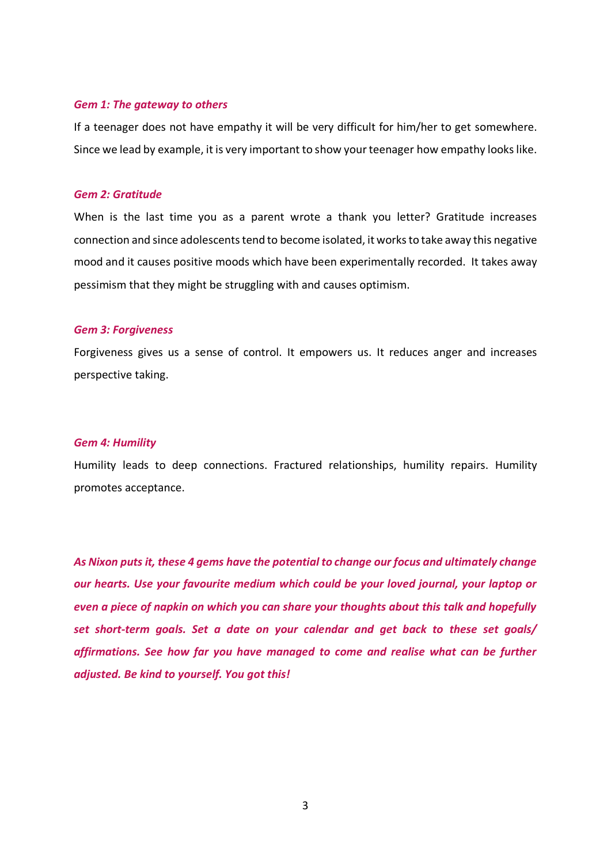#### *Gem 1: The gateway to others*

If a teenager does not have empathy it will be very difficult for him/her to get somewhere. Since we lead by example, it is very important to show your teenager how empathy looks like.

#### *Gem 2: Gratitude*

When is the last time you as a parent wrote a thank you letter? Gratitude increases connection and since adolescents tend to become isolated, it works to take away this negative mood and it causes positive moods which have been experimentally recorded. It takes away pessimism that they might be struggling with and causes optimism.

#### *Gem 3: Forgiveness*

Forgiveness gives us a sense of control. It empowers us. It reduces anger and increases perspective taking.

#### *Gem 4: Humility*

Humility leads to deep connections. Fractured relationships, humility repairs. Humility promotes acceptance.

*As Nixon puts it, these 4 gems have the potential to change our focus and ultimately change our hearts. Use your favourite medium which could be your loved journal, your laptop or even a piece of napkin on which you can share your thoughts about this talk and hopefully set short-term goals. Set a date on your calendar and get back to these set goals/ affirmations. See how far you have managed to come and realise what can be further adjusted. Be kind to yourself. You got this!*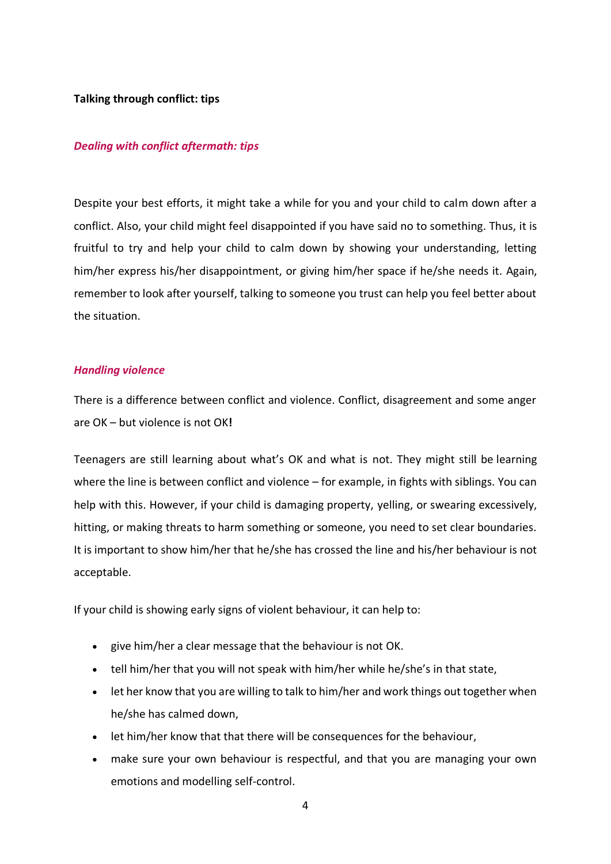## **Talking through conflict: tips**

#### *Dealing with conflict aftermath: tips*

Despite your best efforts, it might take a while for you and your child to calm down after a conflict. Also, your child might feel disappointed if you have said no to something. Thus, it is fruitful to try and help your child to calm down by showing your understanding, letting him/her express his/her disappointment, or giving him/her space if he/she needs it. Again, remember to look after yourself, talking to someone you trust can help you feel better about the situation.

#### *Handling violence*

There is a difference between conflict and violence. Conflict, disagreement and some anger are OK – but violence is not OK**!**

Teenagers are still learning about what's OK and what is not. They might still be learning where the line is between conflict and violence – for example, in [fights with siblings.](https://raisingchildren.net.au/teens/family-life/siblings/sibling-fighting) You can help with this. However, if your child is damaging property, yelling, or swearing excessively, hitting, or making threats to harm something or someone, you need to set clear boundaries. It is important to show him/her that he/she has crossed the line and his/her behaviour is not acceptable.

If your child is showing early signs of violent behaviour, it can help to:

- give him/her a clear message that the behaviour is not OK.
- tell him/her that you will not speak with him/her while he/she's in that state,
- let her know that you are willing to talk to him/her and work things out together when he/she has calmed down,
- let him/her know that that there will be consequences for the behaviour,
- make sure your own behaviour is respectful, and that you are managing your own emotions and modelling self-control.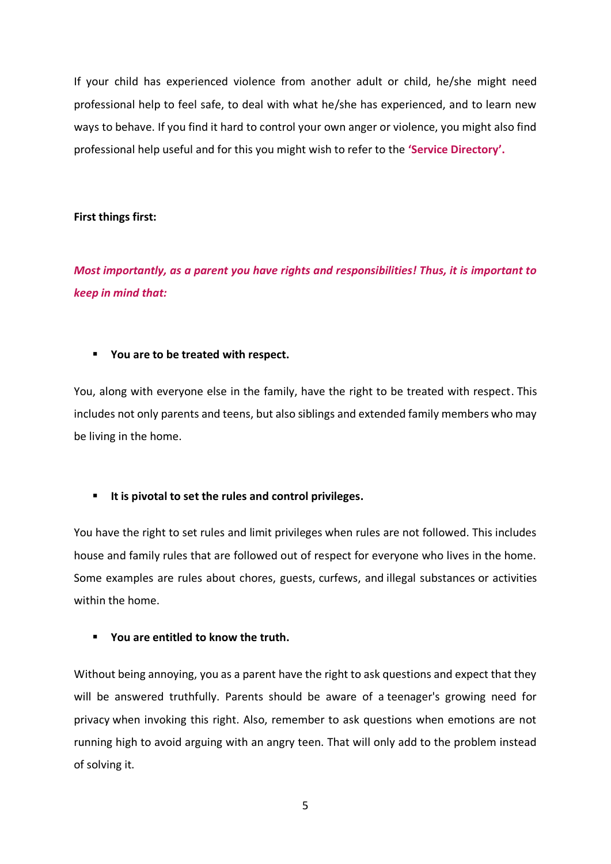If your child has experienced violence from another adult or child, he/she might need professional help to feel safe, to deal with what he/she has experienced, and to learn new ways to behave. If you find it hard to control your own anger or violence, you might also find professional help useful and for this you might wish to refer to the **'Service Directory'.**

# **First things first:**

*Most importantly, as a parent you have rights and responsibilities! Thus, it is important to keep in mind that:* 

#### ▪ **You are to be treated with respect.**

You, along with everyone else in the family, have the right to be treated with respect. This includes not only parents and teens, but also siblings and extended family members who may be living in the home.

# ▪ **It is pivotal to set the rules and control privileges.**

You have the right to set rules and limit privileges when rules are not followed. This includes house and family rules that are followed out of respect for everyone who lives in the home. Some examples are rules about chores, guests, [curfews,](https://www.verywellfamily.com/advice-on-curfews-for-teens-2606170) and [illegal substances](https://www.verywellfamily.com/teen-health-and-safety-4157357) or activities within the home.

# ▪ **You are entitled to know the truth.**

Without being annoying, you as a parent have the right to ask questions and expect that they will be answered truthfully. Parents should be aware of a [teenager's growing need for](https://www.verywellfamily.com/why-does-my-teen-need-privacy-2609615)  [privacy](https://www.verywellfamily.com/why-does-my-teen-need-privacy-2609615) when invoking this right. Also, remember to ask questions when emotions are not running high to avoid arguing with an angry teen. That will only add to the problem instead of solving it.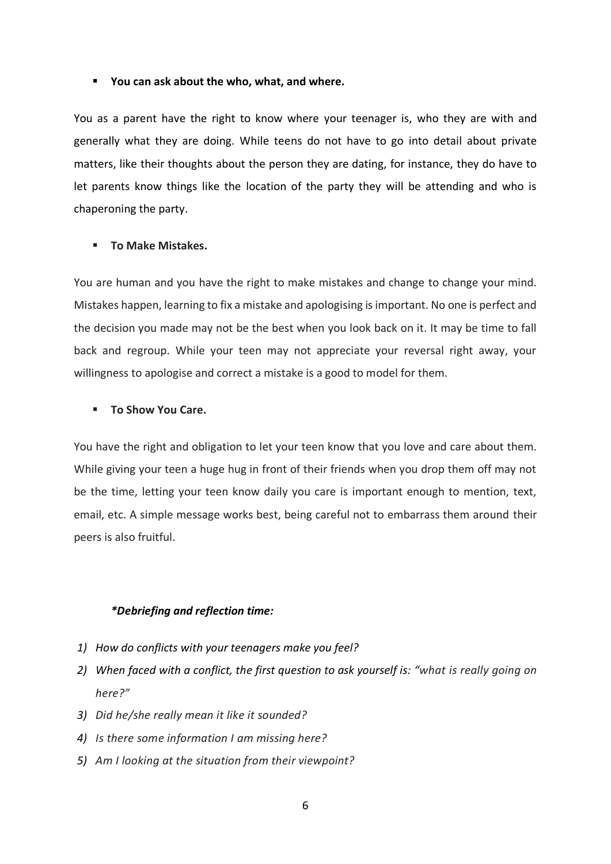#### ▪ **You can ask about the who, what, and where.**

You as a parent have the right to know where your teenager is, who they are with and generally what they are doing. While teens do not have to go into detail about private matters, like their thoughts about the person they are [dating,](https://www.verywellfamily.com/five-truths-teens-and-dating-2611146) for instance, they do have to let parents know things like the location of the party they will be attending and who is chaperoning the party.

#### ▪ **To Make Mistakes.**

You are human and you have the right to make mistakes and change to change your mind. Mistakes happen, learning to fix a mistake and apologising is important. No one is perfect and the decision you made may not be the best when you look back on it. It may be time to fall back and regroup. While your teen may not appreciate your reversal right away, your willingness to apologise and correct a mistake is a good to model for them.

#### ▪ **To Show You Care.**

You have the right and obligation to let your teen know that you love and care about them. While giving your teen a huge hug in front of their friends when you drop them off may not be the time, letting your teen know daily you care is important enough to mention, text, email, etc. A simple message works best, being careful not to embarrass them around their peers is also fruitful.

#### *\*Debriefing and reflection time:*

- *1) How do conflicts with your teenagers make you feel?*
- *2) When faced with a conflict, the first question to ask yourself is: "what is really going on here?"*
- *3) Did he/she really mean it like it sounded?*
- *4) Is there some information I am missing here?*
- *5) Am I looking at the situation from their viewpoint?*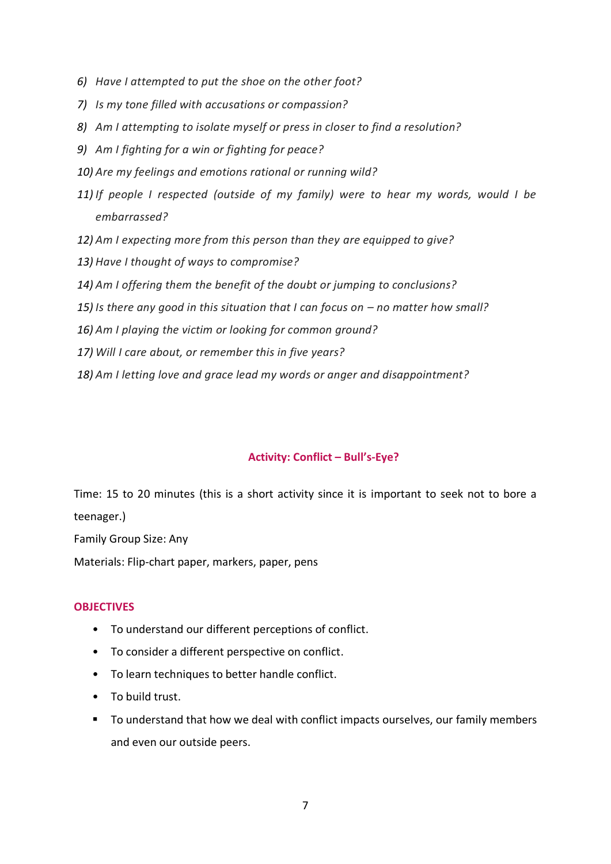- *6) Have I attempted to put the shoe on the other foot?*
- *7) Is my tone filled with accusations or compassion?*
- *8) Am I attempting to isolate myself or press in closer to find a resolution?*
- *9) Am I fighting for a win or fighting for peace?*
- *10) Are my feelings and emotions rational or running wild?*
- *11) If people I respected (outside of my family) were to hear my words, would I be embarrassed?*
- *12) Am I expecting more from this person than they are equipped to give?*
- *13) Have I thought of ways to compromise?*
- *14) Am I offering them the benefit of the doubt or jumping to conclusions?*
- 15) Is there any good in this situation that I can focus on no matter how small?
- *16) Am I playing the victim or looking for common ground?*
- *17) Will I care about, or remember this in five years?*
- *18) Am I letting love and grace lead my words or anger and disappointment?*

# **Activity: Conflict – Bull's-Eye?**

Time: 15 to 20 minutes (this is a short activity since it is important to seek not to bore a teenager.)

Family Group Size: Any

Materials: Flip-chart paper, markers, paper, pens

# **OBJECTIVES**

- To understand our different perceptions of conflict.
- To consider a different perspective on conflict.
- To learn techniques to better handle conflict.
- To build trust.
- To understand that how we deal with conflict impacts ourselves, our family members and even our outside peers.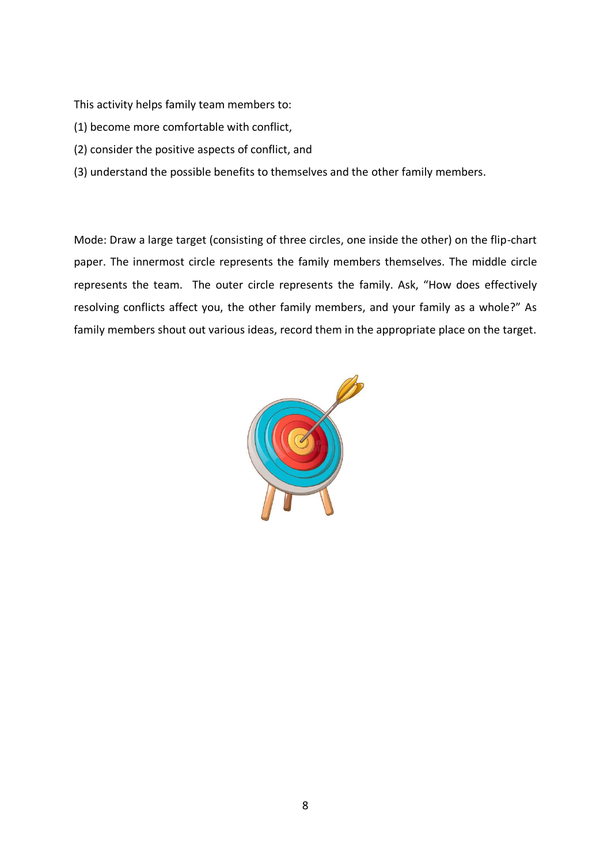This activity helps family team members to:

- (1) become more comfortable with conflict,
- (2) consider the positive aspects of conflict, and
- (3) understand the possible benefits to themselves and the other family members.

Mode: Draw a large target (consisting of three circles, one inside the other) on the flip-chart paper. The innermost circle represents the family members themselves. The middle circle represents the team. The outer circle represents the family. Ask, "How does effectively resolving conflicts affect you, the other family members, and your family as a whole?" As family members shout out various ideas, record them in the appropriate place on the target.